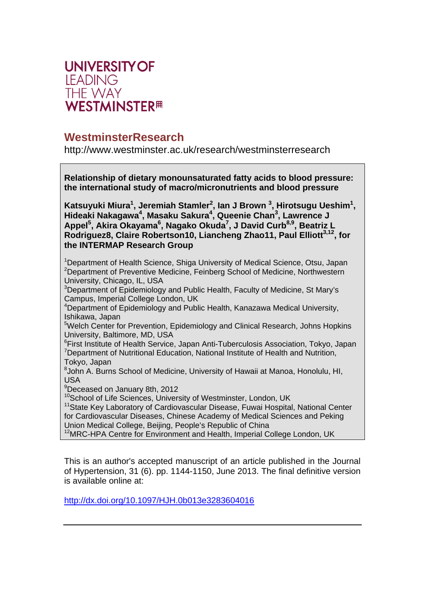

# **WestminsterResearch**

http://www.westminster.ac.uk/research/westminsterresearch

**Relationship of dietary monounsaturated fatty acids to blood pressure: the international study of macro/micronutrients and blood pressure** 

Katsuyuki Miura<sup>1</sup>, Jeremiah Stamler<sup>2</sup>, lan J Brown<sup>3</sup>, Hirotsugu Ueshim<sup>1</sup>, **Hideaki Nakagawa<sup>4</sup> , Masaku Sakura4 , Queenie Chan3 , Lawrence J**  Appel<sup>5</sup>, Akira Okayama<sup>6</sup>, Nagako Okuda<sup>7</sup>, J David Curb<sup>8,9</sup>, Beatriz L Rodriguez8, Claire Robertson10, Liancheng Zhao11, Paul Elliott<sup>3,12</sup>, for **the INTERMAP Research Group** 

<sup>1</sup>Department of Health Science, Shiga University of Medical Science, Otsu, Japan <sup>2</sup>Department of Preventive Medicine, Feinberg School of Medicine, Northwestern University, Chicago, IL, USA

<sup>3</sup>Department of Epidemiology and Public Health, Faculty of Medicine, St Mary's Campus, Imperial College London, UK

4 Department of Epidemiology and Public Health, Kanazawa Medical University, Ishikawa, Japan

<sup>5</sup>Welch Center for Prevention, Epidemiology and Clinical Research, Johns Hopkins University, Baltimore, MD, USA

<sup>6</sup>First Institute of Health Service, Japan Anti-Tuberculosis Association, Tokyo, Japan <sup>7</sup>Department of Nutritional Education, National Institute of Health and Nutrition, Tokyo, Japan

<sup>8</sup> John A. Burns School of Medicine, University of Hawaii at Manoa, Honolulu, HI, USA

9 Deceased on January 8th, 2012

<sup>10</sup>School of Life Sciences, University of Westminster, London, UK

<sup>11</sup> State Key Laboratory of Cardiovascular Disease, Fuwai Hospital, National Center for Cardiovascular Diseases, Chinese Academy of Medical Sciences and Peking Union Medical College, Beijing, People's Republic of China

<sup>12</sup>MRC-HPA Centre for Environment and Health, Imperial College London, UK

This is an author's accepted manuscript of an article published in the Journal of Hypertension, 31 (6). pp. 1144-1150, June 2013. The final definitive version is available online at:

http://dx.doi.org/10.1097/HJH.0b013e3283604016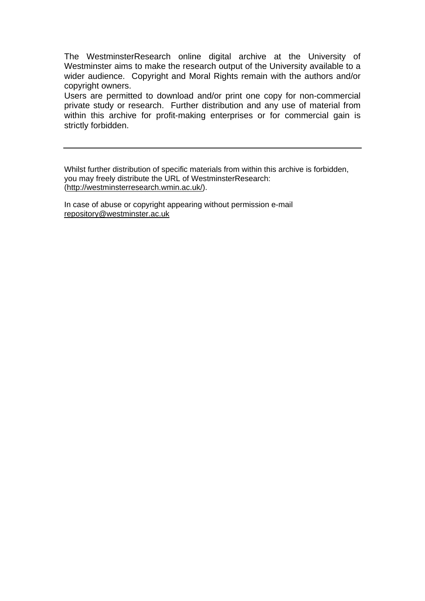The WestminsterResearch online digital archive at the University of Westminster aims to make the research output of the University available to a wider audience. Copyright and Moral Rights remain with the authors and/or copyright owners.

Users are permitted to download and/or print one copy for non-commercial private study or research. Further distribution and any use of material from within this archive for profit-making enterprises or for commercial gain is strictly forbidden.

Whilst further distribution of specific materials from within this archive is forbidden, you may freely distribute the URL of WestminsterResearch: (http://westminsterresearch.wmin.ac.uk/).

In case of abuse or copyright appearing without permission e-mail repository@westminster.ac.uk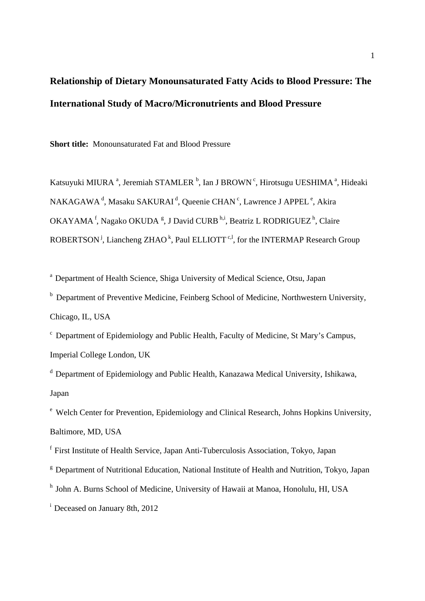# **Relationship of Dietary Monounsaturated Fatty Acids to Blood Pressure: The International Study of Macro/Micronutrients and Blood Pressure**

**Short title:** Monounsaturated Fat and Blood Pressure

Katsuyuki MIURA<sup>a</sup>, Jeremiah STAMLER<sup>b</sup>, Ian J BROWN<sup>c</sup>, Hirotsugu UESHIMA<sup>a</sup>, Hideaki NAKAGAWA<sup>d</sup>, Masaku SAKURAI<sup>d</sup>, Queenie CHAN<sup>c</sup>, Lawrence J APPEL<sup>e</sup>, Akira OKAYAMA<sup>f</sup>, Nagako OKUDA<sup>g</sup>, J David CURB<sup>h,i</sup>, Beatriz L RODRIGUEZ<sup>h</sup>, Claire ROBERTSON<sup>j</sup>, Liancheng ZHAO<sup>k</sup>, Paul ELLIOTT<sup>c, l</sup>, for the INTERMAP Research Group

a Department of Health Science, Shiga University of Medical Science, Otsu, Japan

<sup>b</sup> Department of Preventive Medicine, Feinberg School of Medicine, Northwestern University, Chicago, IL, USA

c Department of Epidemiology and Public Health, Faculty of Medicine, St Mary's Campus, Imperial College London, UK

d Department of Epidemiology and Public Health, Kanazawa Medical University, Ishikawa, Japan

e Welch Center for Prevention, Epidemiology and Clinical Research, Johns Hopkins University, Baltimore, MD, USA

f First Institute of Health Service, Japan Anti-Tuberculosis Association, Tokyo, Japan

<sup>g</sup> Department of Nutritional Education, National Institute of Health and Nutrition, Tokyo, Japan

h John A. Burns School of Medicine, University of Hawaii at Manoa, Honolulu, HI, USA

<sup>i</sup> Deceased on January 8th, 2012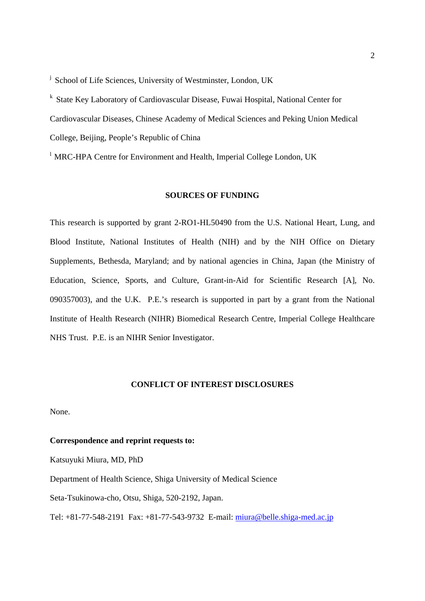<sup>j</sup> School of Life Sciences, University of Westminster, London, UK

k State Key Laboratory of Cardiovascular Disease, Fuwai Hospital, National Center for Cardiovascular Diseases, Chinese Academy of Medical Sciences and Peking Union Medical College, Beijing, People's Republic of China

<sup>1</sup> MRC-HPA Centre for Environment and Health, Imperial College London, UK

# **SOURCES OF FUNDING**

This research is supported by grant 2-RO1-HL50490 from the U.S. National Heart, Lung, and Blood Institute, National Institutes of Health (NIH) and by the NIH Office on Dietary Supplements, Bethesda, Maryland; and by national agencies in China, Japan (the Ministry of Education, Science, Sports, and Culture, Grant-in-Aid for Scientific Research [A], No. 090357003), and the U.K. P.E.'s research is supported in part by a grant from the National Institute of Health Research (NIHR) Biomedical Research Centre, Imperial College Healthcare NHS Trust. P.E. is an NIHR Senior Investigator.

# **CONFLICT OF INTEREST DISCLOSURES**

None.

# **Correspondence and reprint requests to:**

Katsuyuki Miura, MD, PhD

Department of Health Science, Shiga University of Medical Science

Seta-Tsukinowa-cho, Otsu, Shiga, 520-2192, Japan.

Tel: +81-77-548-2191 Fax: +81-77-543-9732 E-mail: miura@belle.shiga-med.ac.jp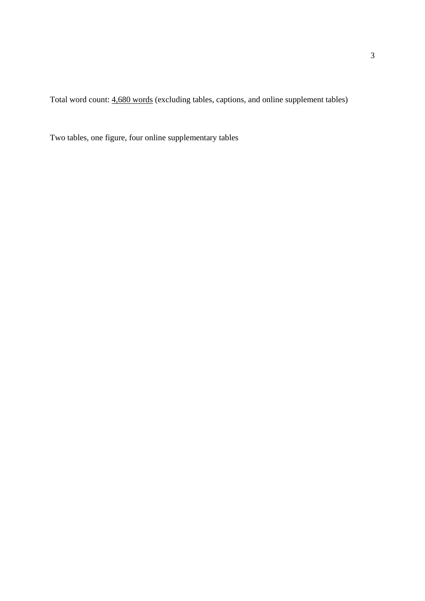Total word count: 4,680 words (excluding tables, captions, and online supplement tables)

Two tables, one figure, four online supplementary tables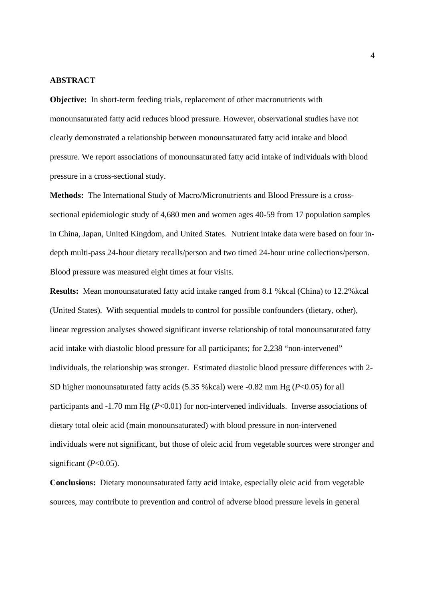#### **ABSTRACT**

**Objective:** In short-term feeding trials, replacement of other macronutrients with monounsaturated fatty acid reduces blood pressure. However, observational studies have not clearly demonstrated a relationship between monounsaturated fatty acid intake and blood pressure. We report associations of monounsaturated fatty acid intake of individuals with blood pressure in a cross-sectional study.

**Methods:** The International Study of Macro/Micronutrients and Blood Pressure is a crosssectional epidemiologic study of 4,680 men and women ages 40-59 from 17 population samples in China, Japan, United Kingdom, and United States. Nutrient intake data were based on four indepth multi-pass 24-hour dietary recalls/person and two timed 24-hour urine collections/person. Blood pressure was measured eight times at four visits.

**Results:** Mean monounsaturated fatty acid intake ranged from 8.1 %kcal (China) to 12.2%kcal (United States). With sequential models to control for possible confounders (dietary, other), linear regression analyses showed significant inverse relationship of total monounsaturated fatty acid intake with diastolic blood pressure for all participants; for 2,238 "non-intervened" individuals, the relationship was stronger. Estimated diastolic blood pressure differences with 2- SD higher monounsaturated fatty acids (5.35 %kcal) were -0.82 mm Hg (*P*<0.05) for all participants and -1.70 mm Hg (*P*<0.01) for non-intervened individuals. Inverse associations of dietary total oleic acid (main monounsaturated) with blood pressure in non-intervened individuals were not significant, but those of oleic acid from vegetable sources were stronger and significant  $(P<0.05)$ .

**Conclusions:** Dietary monounsaturated fatty acid intake, especially oleic acid from vegetable sources, may contribute to prevention and control of adverse blood pressure levels in general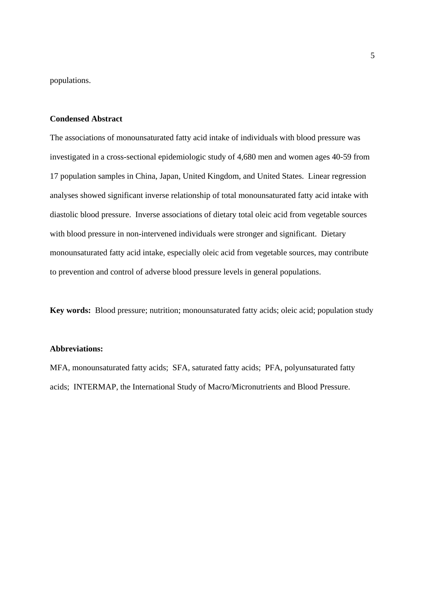populations.

## **Condensed Abstract**

The associations of monounsaturated fatty acid intake of individuals with blood pressure was investigated in a cross-sectional epidemiologic study of 4,680 men and women ages 40-59 from 17 population samples in China, Japan, United Kingdom, and United States. Linear regression analyses showed significant inverse relationship of total monounsaturated fatty acid intake with diastolic blood pressure. Inverse associations of dietary total oleic acid from vegetable sources with blood pressure in non-intervened individuals were stronger and significant. Dietary monounsaturated fatty acid intake, especially oleic acid from vegetable sources, may contribute to prevention and control of adverse blood pressure levels in general populations.

**Key words:** Blood pressure; nutrition; monounsaturated fatty acids; oleic acid; population study

# **Abbreviations:**

MFA, monounsaturated fatty acids; SFA, saturated fatty acids; PFA, polyunsaturated fatty acids; INTERMAP, the International Study of Macro/Micronutrients and Blood Pressure.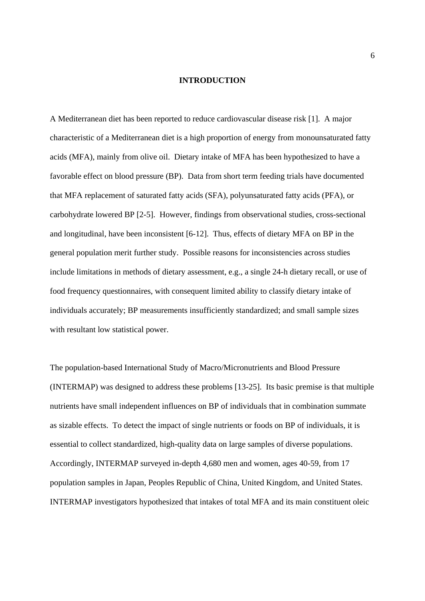#### **INTRODUCTION**

A Mediterranean diet has been reported to reduce cardiovascular disease risk [1]. A major characteristic of a Mediterranean diet is a high proportion of energy from monounsaturated fatty acids (MFA), mainly from olive oil. Dietary intake of MFA has been hypothesized to have a favorable effect on blood pressure (BP). Data from short term feeding trials have documented that MFA replacement of saturated fatty acids (SFA), polyunsaturated fatty acids (PFA), or carbohydrate lowered BP [2-5]. However, findings from observational studies, cross-sectional and longitudinal, have been inconsistent [6-12]. Thus, effects of dietary MFA on BP in the general population merit further study. Possible reasons for inconsistencies across studies include limitations in methods of dietary assessment, e.g., a single 24-h dietary recall, or use of food frequency questionnaires, with consequent limited ability to classify dietary intake of individuals accurately; BP measurements insufficiently standardized; and small sample sizes with resultant low statistical power.

The population-based International Study of Macro/Micronutrients and Blood Pressure (INTERMAP) was designed to address these problems [13-25]. Its basic premise is that multiple nutrients have small independent influences on BP of individuals that in combination summate as sizable effects. To detect the impact of single nutrients or foods on BP of individuals, it is essential to collect standardized, high-quality data on large samples of diverse populations. Accordingly, INTERMAP surveyed in-depth 4,680 men and women, ages 40-59, from 17 population samples in Japan, Peoples Republic of China, United Kingdom, and United States. INTERMAP investigators hypothesized that intakes of total MFA and its main constituent oleic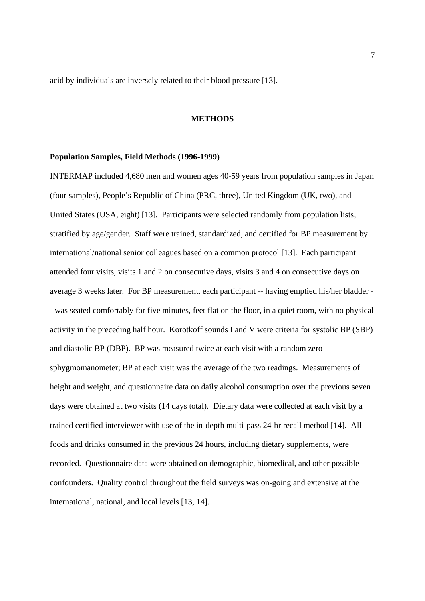acid by individuals are inversely related to their blood pressure [13].

#### **METHODS**

#### **Population Samples, Field Methods (1996-1999)**

INTERMAP included 4,680 men and women ages 40-59 years from population samples in Japan (four samples), People's Republic of China (PRC, three), United Kingdom (UK, two), and United States (USA, eight) [13]. Participants were selected randomly from population lists, stratified by age/gender. Staff were trained, standardized, and certified for BP measurement by international/national senior colleagues based on a common protocol [13]. Each participant attended four visits, visits 1 and 2 on consecutive days, visits 3 and 4 on consecutive days on average 3 weeks later. For BP measurement, each participant -- having emptied his/her bladder - - was seated comfortably for five minutes, feet flat on the floor, in a quiet room, with no physical activity in the preceding half hour. Korotkoff sounds I and V were criteria for systolic BP (SBP) and diastolic BP (DBP). BP was measured twice at each visit with a random zero sphygmomanometer; BP at each visit was the average of the two readings. Measurements of height and weight, and questionnaire data on daily alcohol consumption over the previous seven days were obtained at two visits (14 days total). Dietary data were collected at each visit by a trained certified interviewer with use of the in-depth multi-pass 24-hr recall method [14]. All foods and drinks consumed in the previous 24 hours, including dietary supplements, were recorded. Questionnaire data were obtained on demographic, biomedical, and other possible confounders. Quality control throughout the field surveys was on-going and extensive at the international, national, and local levels [13, 14].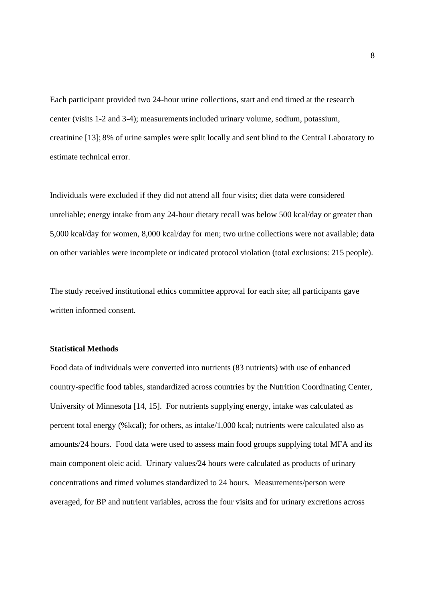Each participant provided two 24-hour urine collections, start and end timed at the research center (visits 1-2 and 3-4); measurementsincluded urinary volume, sodium, potassium, creatinine [13]; 8% of urine samples were split locally and sent blind to the Central Laboratory to estimate technical error.

Individuals were excluded if they did not attend all four visits; diet data were considered unreliable; energy intake from any 24-hour dietary recall was below 500 kcal/day or greater than 5,000 kcal/day for women, 8,000 kcal/day for men; two urine collections were not available; data on other variables were incomplete or indicated protocol violation (total exclusions: 215 people).

The study received institutional ethics committee approval for each site; all participants gave written informed consent.

# **Statistical Methods**

Food data of individuals were converted into nutrients (83 nutrients) with use of enhanced country-specific food tables, standardized across countries by the Nutrition Coordinating Center, University of Minnesota [14, 15]. For nutrients supplying energy, intake was calculated as percent total energy (%kcal); for others, as intake/1,000 kcal; nutrients were calculated also as amounts/24 hours. Food data were used to assess main food groups supplying total MFA and its main component oleic acid. Urinary values/24 hours were calculated as products of urinary concentrations and timed volumes standardized to 24 hours. Measurements/person were averaged, for BP and nutrient variables, across the four visits and for urinary excretions across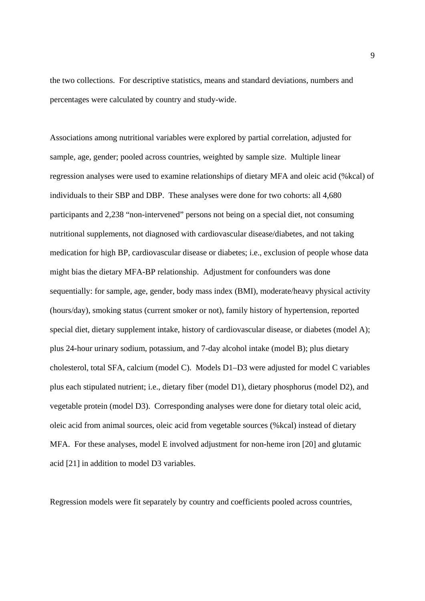the two collections. For descriptive statistics, means and standard deviations, numbers and percentages were calculated by country and study-wide.

Associations among nutritional variables were explored by partial correlation, adjusted for sample, age, gender; pooled across countries, weighted by sample size. Multiple linear regression analyses were used to examine relationships of dietary MFA and oleic acid (%kcal) of individuals to their SBP and DBP. These analyses were done for two cohorts: all 4,680 participants and 2,238 "non-intervened" persons not being on a special diet, not consuming nutritional supplements, not diagnosed with cardiovascular disease/diabetes, and not taking medication for high BP, cardiovascular disease or diabetes; i.e., exclusion of people whose data might bias the dietary MFA-BP relationship. Adjustment for confounders was done sequentially: for sample, age, gender, body mass index (BMI), moderate/heavy physical activity (hours/day), smoking status (current smoker or not), family history of hypertension, reported special diet, dietary supplement intake, history of cardiovascular disease, or diabetes (model A); plus 24-hour urinary sodium, potassium, and 7-day alcohol intake (model B); plus dietary cholesterol, total SFA, calcium (model C). Models D1–D3 were adjusted for model C variables plus each stipulated nutrient; i.e., dietary fiber (model D1), dietary phosphorus (model D2), and vegetable protein (model D3). Corresponding analyses were done for dietary total oleic acid, oleic acid from animal sources, oleic acid from vegetable sources (%kcal) instead of dietary MFA. For these analyses, model E involved adjustment for non-heme iron [20] and glutamic acid [21] in addition to model D3 variables.

Regression models were fit separately by country and coefficients pooled across countries,

9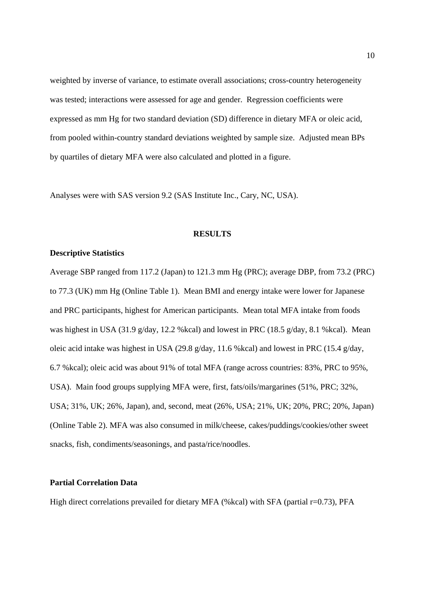weighted by inverse of variance, to estimate overall associations; cross-country heterogeneity was tested; interactions were assessed for age and gender. Regression coefficients were expressed as mm Hg for two standard deviation (SD) difference in dietary MFA or oleic acid, from pooled within-country standard deviations weighted by sample size. Adjusted mean BPs by quartiles of dietary MFA were also calculated and plotted in a figure.

Analyses were with SAS version 9.2 (SAS Institute Inc., Cary, NC, USA).

#### **RESULTS**

## **Descriptive Statistics**

Average SBP ranged from 117.2 (Japan) to 121.3 mm Hg (PRC); average DBP, from 73.2 (PRC) to 77.3 (UK) mm Hg (Online Table 1). Mean BMI and energy intake were lower for Japanese and PRC participants, highest for American participants. Mean total MFA intake from foods was highest in USA (31.9 g/day, 12.2 %kcal) and lowest in PRC (18.5 g/day, 8.1 %kcal). Mean oleic acid intake was highest in USA (29.8 g/day, 11.6 %kcal) and lowest in PRC (15.4 g/day, 6.7 %kcal); oleic acid was about 91% of total MFA (range across countries: 83%, PRC to 95%, USA). Main food groups supplying MFA were, first, fats/oils/margarines (51%, PRC; 32%, USA; 31%, UK; 26%, Japan), and, second, meat (26%, USA; 21%, UK; 20%, PRC; 20%, Japan) (Online Table 2). MFA was also consumed in milk/cheese, cakes/puddings/cookies/other sweet snacks, fish, condiments/seasonings, and pasta/rice/noodles.

# **Partial Correlation Data**

High direct correlations prevailed for dietary MFA (%kcal) with SFA (partial r=0.73), PFA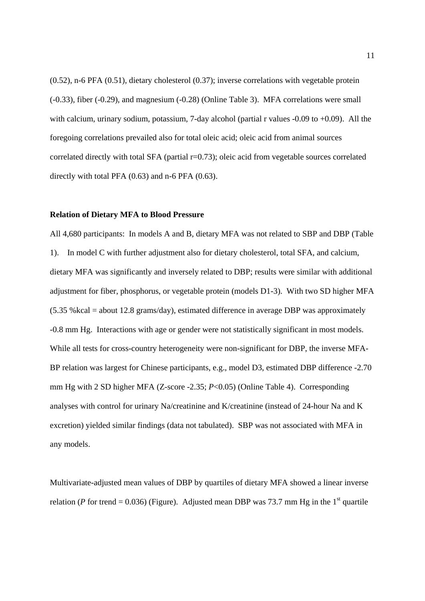(0.52), n-6 PFA (0.51), dietary cholesterol (0.37); inverse correlations with vegetable protein (-0.33), fiber (-0.29), and magnesium (-0.28) (Online Table 3). MFA correlations were small with calcium, urinary sodium, potassium, 7-day alcohol (partial r values -0.09 to +0.09). All the foregoing correlations prevailed also for total oleic acid; oleic acid from animal sources correlated directly with total SFA (partial  $r=0.73$ ); oleic acid from vegetable sources correlated directly with total PFA (0.63) and n-6 PFA (0.63).

# **Relation of Dietary MFA to Blood Pressure**

All 4,680 participants: In models A and B, dietary MFA was not related to SBP and DBP (Table 1). In model C with further adjustment also for dietary cholesterol, total SFA, and calcium, dietary MFA was significantly and inversely related to DBP; results were similar with additional adjustment for fiber, phosphorus, or vegetable protein (models D1-3). With two SD higher MFA  $(5.35 \text{ %kcal} =$  about 12.8 grams/day), estimated difference in average DBP was approximately -0.8 mm Hg. Interactions with age or gender were not statistically significant in most models. While all tests for cross-country heterogeneity were non-significant for DBP, the inverse MFA-BP relation was largest for Chinese participants, e.g., model D3, estimated DBP difference -2.70 mm Hg with 2 SD higher MFA (Z-score -2.35; *P*<0.05) (Online Table 4). Corresponding analyses with control for urinary Na/creatinine and K/creatinine (instead of 24-hour Na and K excretion) yielded similar findings (data not tabulated). SBP was not associated with MFA in any models.

Multivariate-adjusted mean values of DBP by quartiles of dietary MFA showed a linear inverse relation (*P* for trend = 0.036) (Figure). Adjusted mean DBP was 73.7 mm Hg in the 1<sup>st</sup> quartile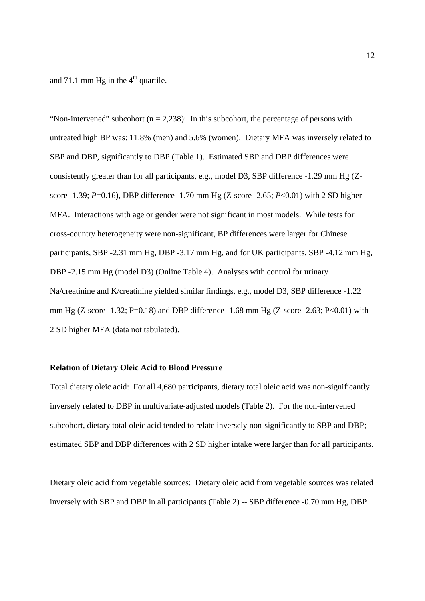and 71.1 mm Hg in the  $4<sup>th</sup>$  quartile.

"Non-intervened" subcohort ( $n = 2,238$ ): In this subcohort, the percentage of persons with untreated high BP was: 11.8% (men) and 5.6% (women). Dietary MFA was inversely related to SBP and DBP, significantly to DBP (Table 1). Estimated SBP and DBP differences were consistently greater than for all participants, e.g., model D3, SBP difference -1.29 mm Hg (Zscore -1.39; *P*=0.16), DBP difference -1.70 mm Hg (Z-score -2.65; *P*<0.01) with 2 SD higher MFA. Interactions with age or gender were not significant in most models. While tests for cross-country heterogeneity were non-significant, BP differences were larger for Chinese participants, SBP -2.31 mm Hg, DBP -3.17 mm Hg, and for UK participants, SBP -4.12 mm Hg, DBP -2.15 mm Hg (model D3) (Online Table 4). Analyses with control for urinary Na/creatinine and K/creatinine yielded similar findings, e.g., model D3, SBP difference -1.22 mm Hg (Z-score -1.32; P=0.18) and DBP difference -1.68 mm Hg (Z-score -2.63; P<0.01) with 2 SD higher MFA (data not tabulated).

# **Relation of Dietary Oleic Acid to Blood Pressure**

Total dietary oleic acid: For all 4,680 participants, dietary total oleic acid was non-significantly inversely related to DBP in multivariate-adjusted models (Table 2). For the non-intervened subcohort, dietary total oleic acid tended to relate inversely non-significantly to SBP and DBP; estimated SBP and DBP differences with 2 SD higher intake were larger than for all participants.

Dietary oleic acid from vegetable sources: Dietary oleic acid from vegetable sources was related inversely with SBP and DBP in all participants (Table 2) -- SBP difference -0.70 mm Hg, DBP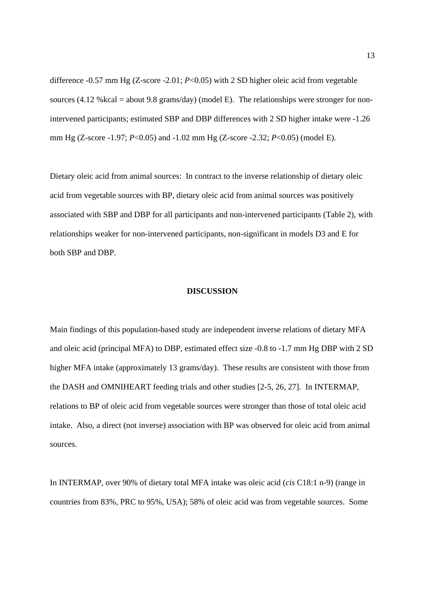difference -0.57 mm Hg (Z-score -2.01; *P*<0.05) with 2 SD higher oleic acid from vegetable sources (4.12 % kcal = about 9.8 grams/day) (model E). The relationships were stronger for nonintervened participants; estimated SBP and DBP differences with 2 SD higher intake were -1.26 mm Hg (Z-score -1.97; *P*<0.05) and -1.02 mm Hg (Z-score -2.32; *P*<0.05) (model E).

Dietary oleic acid from animal sources: In contract to the inverse relationship of dietary oleic acid from vegetable sources with BP, dietary oleic acid from animal sources was positively associated with SBP and DBP for all participants and non-intervened participants (Table 2), with relationships weaker for non-intervened participants, non-significant in models D3 and E for both SBP and DBP.

## **DISCUSSION**

Main findings of this population-based study are independent inverse relations of dietary MFA and oleic acid (principal MFA) to DBP, estimated effect size -0.8 to -1.7 mm Hg DBP with 2 SD higher MFA intake (approximately 13 grams/day). These results are consistent with those from the DASH and OMNIHEART feeding trials and other studies [2-5, 26, 27]. In INTERMAP, relations to BP of oleic acid from vegetable sources were stronger than those of total oleic acid intake. Also, a direct (not inverse) association with BP was observed for oleic acid from animal sources.

In INTERMAP, over 90% of dietary total MFA intake was oleic acid (*cis* C18:1 n-9) (range in countries from 83%, PRC to 95%, USA); 58% of oleic acid was from vegetable sources. Some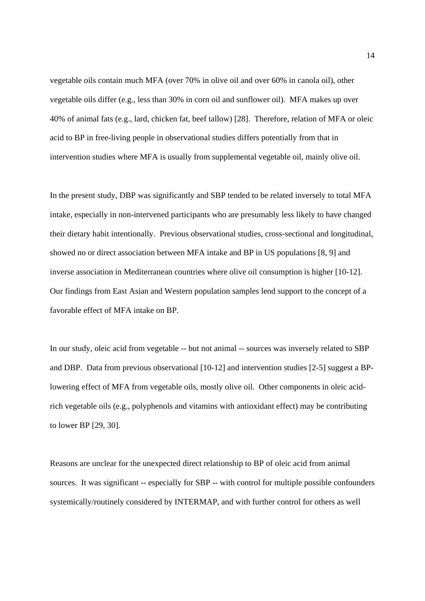vegetable oils contain much MFA (over 70% in olive oil and over 60% in canola oil), other vegetable oils differ (e.g., less than 30% in corn oil and sunflower oil). MFA makes up over 40% of animal fats (e.g., lard, chicken fat, beef tallow) [28]. Therefore, relation of MFA or oleic acid to BP in free-living people in observational studies differs potentially from that in intervention studies where MFA is usually from supplemental vegetable oil, mainly olive oil.

In the present study, DBP was significantly and SBP tended to be related inversely to total MFA intake, especially in non-intervened participants who are presumably less likely to have changed their dietary habit intentionally. Previous observational studies, cross-sectional and longitudinal, showed no or direct association between MFA intake and BP in US populations [8, 9] and inverse association in Mediterranean countries where olive oil consumption is higher [10-12]. Our findings from East Asian and Western population samples lend support to the concept of a favorable effect of MFA intake on BP.

In our study, oleic acid from vegetable -- but not animal -- sources was inversely related to SBP and DBP. Data from previous observational [10-12] and intervention studies [2-5] suggest a BPlowering effect of MFA from vegetable oils, mostly olive oil. Other components in oleic acidrich vegetable oils (e.g., polyphenols and vitamins with antioxidant effect) may be contributing to lower BP [29, 30].

Reasons are unclear for the unexpected direct relationship to BP of oleic acid from animal sources. It was significant -- especially for SBP -- with control for multiple possible confounders systemically/routinely considered by INTERMAP, and with further control for others as well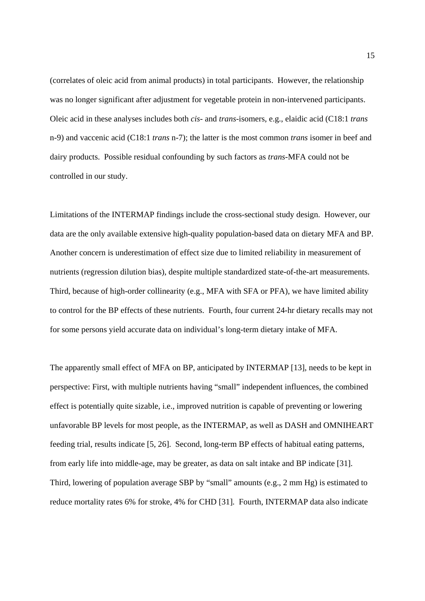(correlates of oleic acid from animal products) in total participants. However, the relationship was no longer significant after adjustment for vegetable protein in non-intervened participants. Oleic acid in these analyses includes both *cis-* and *trans-*isomers, e.g., elaidic acid (C18:1 *trans* n-9) and vaccenic acid (C18:1 *trans* n-7); the latter is the most common *trans* isomer in beef and dairy products. Possible residual confounding by such factors as *trans-*MFA could not be controlled in our study.

Limitations of the INTERMAP findings include the cross-sectional study design. However, our data are the only available extensive high-quality population-based data on dietary MFA and BP. Another concern is underestimation of effect size due to limited reliability in measurement of nutrients (regression dilution bias), despite multiple standardized state-of-the-art measurements. Third, because of high-order collinearity (e.g., MFA with SFA or PFA), we have limited ability to control for the BP effects of these nutrients. Fourth, four current 24-hr dietary recalls may not for some persons yield accurate data on individual's long-term dietary intake of MFA.

The apparently small effect of MFA on BP, anticipated by INTERMAP [13], needs to be kept in perspective: First, with multiple nutrients having "small" independent influences, the combined effect is potentially quite sizable, i.e., improved nutrition is capable of preventing or lowering unfavorable BP levels for most people, as the INTERMAP, as well as DASH and OMNIHEART feeding trial, results indicate [5, 26]. Second, long-term BP effects of habitual eating patterns, from early life into middle-age, may be greater, as data on salt intake and BP indicate [31]. Third, lowering of population average SBP by "small" amounts (e.g., 2 mm Hg) is estimated to reduce mortality rates 6% for stroke, 4% for CHD [31]. Fourth, INTERMAP data also indicate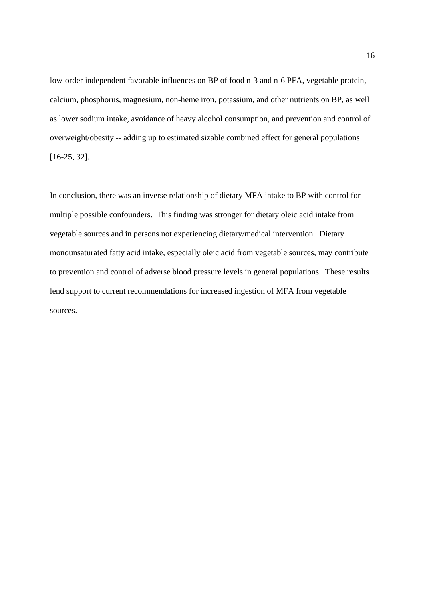low-order independent favorable influences on BP of food n-3 and n-6 PFA, vegetable protein, calcium, phosphorus, magnesium, non-heme iron, potassium, and other nutrients on BP, as well as lower sodium intake, avoidance of heavy alcohol consumption, and prevention and control of overweight/obesity -- adding up to estimated sizable combined effect for general populations [16-25, 32].

In conclusion, there was an inverse relationship of dietary MFA intake to BP with control for multiple possible confounders. This finding was stronger for dietary oleic acid intake from vegetable sources and in persons not experiencing dietary/medical intervention. Dietary monounsaturated fatty acid intake, especially oleic acid from vegetable sources, may contribute to prevention and control of adverse blood pressure levels in general populations. These results lend support to current recommendations for increased ingestion of MFA from vegetable sources.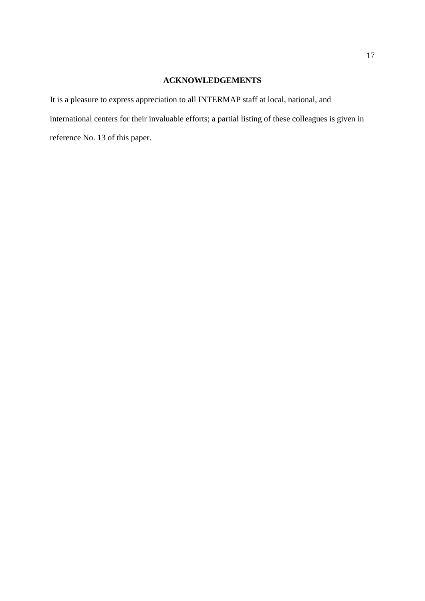# **ACKNOWLEDGEMENTS**

It is a pleasure to express appreciation to all INTERMAP staff at local, national, and international centers for their invaluable efforts; a partial listing of these colleagues is given in reference No. 13 of this paper.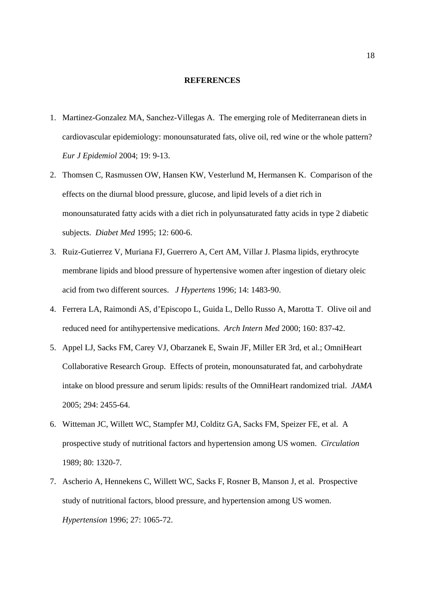#### **REFERENCES**

- 1. Martinez-Gonzalez MA, Sanchez-Villegas A. The emerging role of Mediterranean diets in cardiovascular epidemiology: monounsaturated fats, olive oil, red wine or the whole pattern? *Eur J Epidemiol* 2004; 19: 9-13.
- 2. Thomsen C, Rasmussen OW, Hansen KW, Vesterlund M, Hermansen K. Comparison of the effects on the diurnal blood pressure, glucose, and lipid levels of a diet rich in monounsaturated fatty acids with a diet rich in polyunsaturated fatty acids in type 2 diabetic subjects. *Diabet Med* 1995; 12: 600-6.
- 3. Ruiz-Gutierrez V, Muriana FJ, Guerrero A, Cert AM, Villar J. Plasma lipids, erythrocyte membrane lipids and blood pressure of hypertensive women after ingestion of dietary oleic acid from two different sources. *J Hypertens* 1996; 14: 1483-90.
- 4. Ferrera LA, Raimondi AS, d'Episcopo L, Guida L, Dello Russo A, Marotta T. Olive oil and reduced need for antihypertensive medications. *Arch Intern Med* 2000; 160: 837-42.
- 5. Appel LJ, Sacks FM, Carey VJ, Obarzanek E, Swain JF, Miller ER 3rd, et al.; OmniHeart Collaborative Research Group. Effects of protein, monounsaturated fat, and carbohydrate intake on blood pressure and serum lipids: results of the OmniHeart randomized trial. *JAMA*  2005; 294: 2455-64.
- 6. Witteman JC, Willett WC, Stampfer MJ, Colditz GA, Sacks FM, Speizer FE, et al. A prospective study of nutritional factors and hypertension among US women. *Circulation* 1989; 80: 1320-7.
- 7. Ascherio A, Hennekens C, Willett WC, Sacks F, Rosner B, Manson J, et al. Prospective study of nutritional factors, blood pressure, and hypertension among US women. *Hypertension* 1996; 27: 1065-72.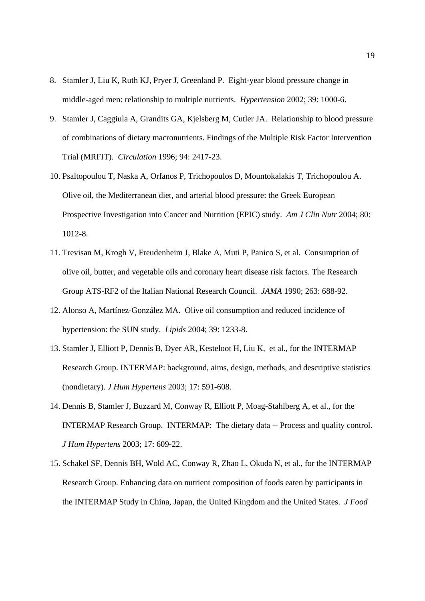- 8. Stamler J, Liu K, Ruth KJ, Pryer J, Greenland P. Eight-year blood pressure change in middle-aged men: relationship to multiple nutrients. *Hypertension* 2002; 39: 1000-6.
- 9. Stamler J, Caggiula A, Grandits GA, Kjelsberg M, Cutler JA. Relationship to blood pressure of combinations of dietary macronutrients. Findings of the Multiple Risk Factor Intervention Trial (MRFIT). *Circulation* 1996; 94: 2417-23.
- 10. Psaltopoulou T, Naska A, Orfanos P, Trichopoulos D, Mountokalakis T, Trichopoulou A. Olive oil, the Mediterranean diet, and arterial blood pressure: the Greek European Prospective Investigation into Cancer and Nutrition (EPIC) study. *Am J Clin Nutr* 2004; 80: 1012-8.
- 11. Trevisan M, Krogh V, Freudenheim J, Blake A, Muti P, Panico S, et al. Consumption of olive oil, butter, and vegetable oils and coronary heart disease risk factors. The Research Group ATS-RF2 of the Italian National Research Council. *JAMA* 1990; 263: 688-92.
- 12. Alonso A, Martínez-González MA. Olive oil consumption and reduced incidence of hypertension: the SUN study. *Lipids* 2004; 39: 1233-8.
- 13. Stamler J, Elliott P, Dennis B, Dyer AR, Kesteloot H, Liu K, et al., for the INTERMAP Research Group. INTERMAP: background, aims, design, methods, and descriptive statistics (nondietary). *J Hum Hypertens* 2003; 17: 591-608.
- 14. Dennis B, Stamler J, Buzzard M, Conway R, Elliott P, Moag-Stahlberg A, et al., for the INTERMAP Research Group. INTERMAP: The dietary data -- Process and quality control. *J Hum Hypertens* 2003; 17: 609-22.
- 15. Schakel SF, Dennis BH, Wold AC, Conway R, Zhao L, Okuda N, et al., for the INTERMAP Research Group. Enhancing data on nutrient composition of foods eaten by participants in the INTERMAP Study in China, Japan, the United Kingdom and the United States. *J Food*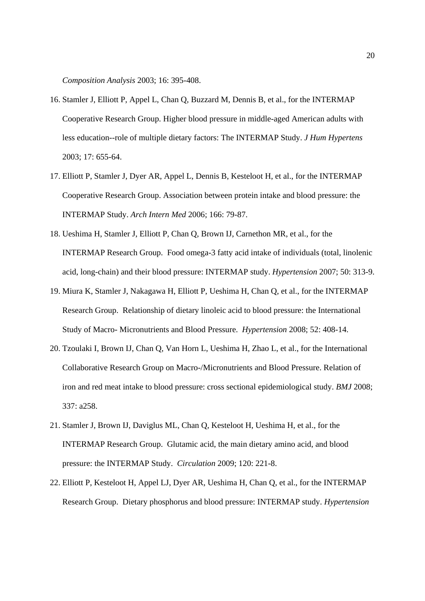*Composition Analysis* 2003; 16: 395-408.

- 16. Stamler J, Elliott P, Appel L, Chan Q, Buzzard M, Dennis B, et al., for the INTERMAP Cooperative Research Group. Higher blood pressure in middle-aged American adults with less education--role of multiple dietary factors: The INTERMAP Study. *J Hum Hypertens* 2003; 17: 655-64.
- 17. Elliott P, Stamler J, Dyer AR, Appel L, Dennis B, Kesteloot H, et al., for the INTERMAP Cooperative Research Group. Association between protein intake and blood pressure: the INTERMAP Study. *Arch Intern Med* 2006; 166: 79-87.
- 18. Ueshima H, Stamler J, Elliott P, Chan Q, Brown IJ, Carnethon MR, et al., for the INTERMAP Research Group. Food omega-3 fatty acid intake of individuals (total, linolenic acid, long-chain) and their blood pressure: INTERMAP study. *Hypertension* 2007; 50: 313-9.
- 19. Miura K, Stamler J, Nakagawa H, Elliott P, Ueshima H, Chan Q, et al., for the INTERMAP Research Group. Relationship of dietary linoleic acid to blood pressure: the International Study of Macro- Micronutrients and Blood Pressure. *Hypertension* 2008; 52: 408-14.
- 20. Tzoulaki I, Brown IJ, Chan Q, Van Horn L, Ueshima H, Zhao L, et al., for the International Collaborative Research Group on Macro-/Micronutrients and Blood Pressure. Relation of iron and red meat intake to blood pressure: cross sectional epidemiological study. *BMJ* 2008; 337: a258.
- 21. Stamler J, Brown IJ, Daviglus ML, Chan Q, Kesteloot H, Ueshima H, et al., for the INTERMAP Research Group. Glutamic acid, the main dietary amino acid, and blood pressure: the INTERMAP Study. *Circulation* 2009; 120: 221-8.
- 22. Elliott P, Kesteloot H, Appel LJ, Dyer AR, Ueshima H, Chan Q, et al., for the INTERMAP Research Group. Dietary phosphorus and blood pressure: INTERMAP study. *Hypertension*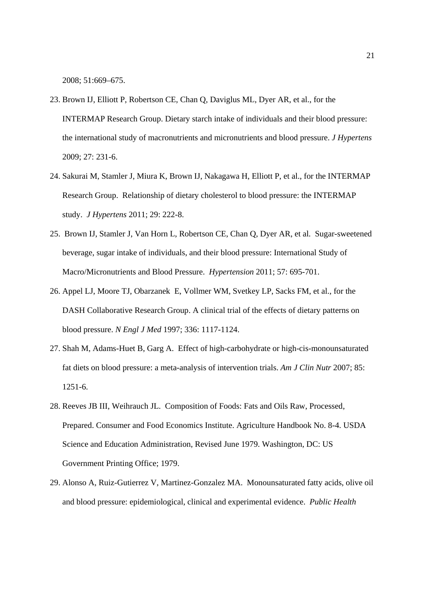2008; 51:669–675.

- 23. Brown IJ, Elliott P, Robertson CE, Chan Q, Daviglus ML, Dyer AR, et al., for the INTERMAP Research Group. Dietary starch intake of individuals and their blood pressure: the international study of macronutrients and micronutrients and blood pressure. *J Hypertens*  2009; 27: 231-6.
- 24. Sakurai M, Stamler J, Miura K, Brown IJ, Nakagawa H, Elliott P, et al., for the INTERMAP Research Group. Relationship of dietary cholesterol to blood pressure: the INTERMAP study. *J Hypertens* 2011; 29: 222-8.
- 25. Brown IJ, Stamler J, Van Horn L, Robertson CE, Chan Q, Dyer AR, et al. Sugar-sweetened beverage, sugar intake of individuals, and their blood pressure: International Study of Macro/Micronutrients and Blood Pressure. *Hypertension* 2011; 57: 695-701.
- 26. Appel LJ, Moore TJ, Obarzanek E, Vollmer WM, Svetkey LP, Sacks FM, et al., for the DASH Collaborative Research Group. A clinical trial of the effects of dietary patterns on blood pressure. *N Engl J Med* 1997; 336: 1117-1124.
- 27. Shah M, Adams-Huet B, Garg A. Effect of high-carbohydrate or high-cis-monounsaturated fat diets on blood pressure: a meta-analysis of intervention trials. *Am J Clin Nutr* 2007; 85: 1251-6.
- 28. Reeves JB III, Weihrauch JL. Composition of Foods: Fats and Oils Raw, Processed, Prepared. Consumer and Food Economics Institute. Agriculture Handbook No. 8-4. USDA Science and Education Administration, Revised June 1979. Washington, DC: US Government Printing Office; 1979.
- 29. Alonso A, Ruiz-Gutierrez V, Martinez-Gonzalez MA. Monounsaturated fatty acids, olive oil and blood pressure: epidemiological, clinical and experimental evidence. *Public Health*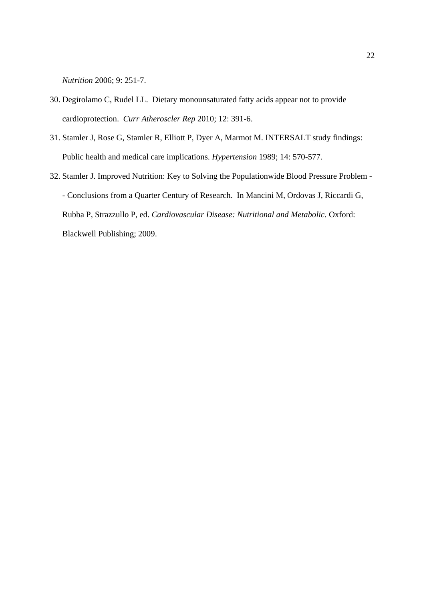*Nutrition* 2006; 9: 251-7.

- 30. Degirolamo C, Rudel LL. Dietary monounsaturated fatty acids appear not to provide cardioprotection. *Curr Atheroscler Rep* 2010; 12: 391-6.
- 31. Stamler J, Rose G, Stamler R, Elliott P, Dyer A, Marmot M. INTERSALT study findings: Public health and medical care implications. *Hypertension* 1989; 14: 570-577.
- 32. Stamler J. Improved Nutrition: Key to Solving the Populationwide Blood Pressure Problem - Conclusions from a Quarter Century of Research. In Mancini M, Ordovas J, Riccardi G, Rubba P, Strazzullo P, ed. *Cardiovascular Disease: Nutritional and Metabolic.* Oxford: Blackwell Publishing; 2009.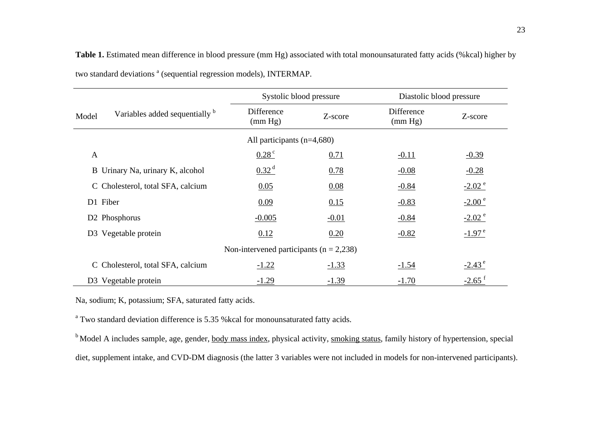|              |                                           | Systolic blood pressure                     |         | Diastolic blood pressure |                      |
|--------------|-------------------------------------------|---------------------------------------------|---------|--------------------------|----------------------|
| Model        | Variables added sequentially <sup>b</sup> | Difference<br>(mm Hg)                       | Z-score | Difference<br>(mm Hg)    | Z-score              |
|              |                                           | All participants $(n=4,680)$                |         |                          |                      |
| $\mathbf{A}$ |                                           | $0.28^{\circ}$                              | 0.71    | $-0.11$                  | $-0.39$              |
|              | B Urinary Na, urinary K, alcohol          | $0.32^{d}$                                  | 0.78    | $-0.08$                  | $-0.28$              |
|              | C Cholesterol, total SFA, calcium         | 0.05                                        | 0.08    | $-0.84$                  | $-2.02$ <sup>e</sup> |
|              | D1 Fiber                                  | 0.09                                        | 0.15    | $-0.83$                  | $-2.00^{\circ}$      |
|              | D <sub>2</sub> Phosphorus                 | $-0.005$                                    | $-0.01$ | $-0.84$                  | $-2.02$ <sup>e</sup> |
|              | D3 Vegetable protein                      | 0.12                                        | 0.20    | $-0.82$                  | $-1.97^{\circ}$      |
|              |                                           | Non-intervened participants ( $n = 2,238$ ) |         |                          |                      |
|              | C Cholesterol, total SFA, calcium         | $-1.22$                                     | $-1.33$ | $-1.54$                  | $-2.43^{\circ}$      |
|              | D3 Vegetable protein                      | $-1.29$                                     | $-1.39$ | $-1.70$                  | $-2.65$ <sup>f</sup> |

**Table 1.** Estimated mean difference in blood pressure (mm Hg) associated with total monounsaturated fatty acids (%kcal) higher by two standard deviations<sup>a</sup> (sequential regression models), INTERMAP.

Na, sodium; K, potassium; SFA, saturated fatty acids.

<sup>a</sup> Two standard deviation difference is 5.35 % kcal for monounsaturated fatty acids.

<sup>b</sup> Model A includes sample, age, gender, **body mass index**, physical activity, smoking status, family history of hypertension, special diet, supplement intake, and CVD-DM diagnosis (the latter 3 variables were not included in models for non-intervened participants).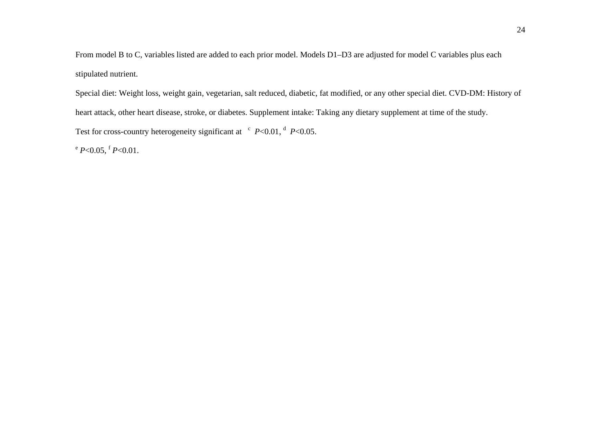From model B to C, variables listed are added to each prior model. Models D1–D3 are adjusted for model C variables plus each stipulated nutrient.

Special diet: Weight loss, weight gain, vegetarian, salt reduced, diabetic, fat modified, or any other special diet. CVD-DM: History of heart attack, other heart disease, stroke, or diabetes. Supplement intake: Taking any dietary supplement at time of the study. Test for cross-country heterogeneity significant at  $\degree$  *P*<0.01,  $\degree$  *P*<0.05.

 $e^{\epsilon} P<0.05$ ,  $f P<0.01$ .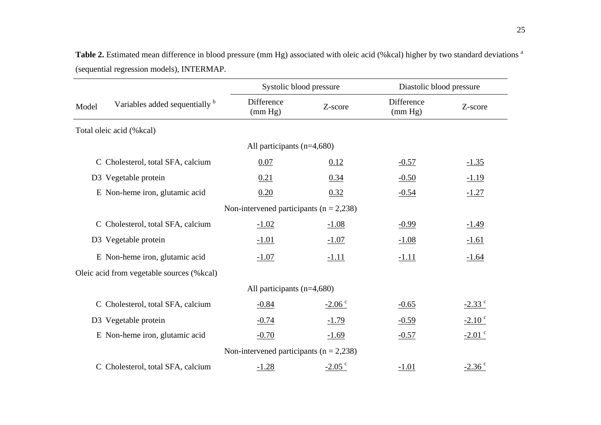|       |                                           | Systolic blood pressure                     |                   | Diastolic blood pressure |                    |
|-------|-------------------------------------------|---------------------------------------------|-------------------|--------------------------|--------------------|
| Model | Variables added sequentially b            | Difference<br>(mm Hg)                       | Z-score           | Difference<br>(mm Hg)    | Z-score            |
|       | Total oleic acid (%kcal)                  |                                             |                   |                          |                    |
|       |                                           | All participants $(n=4,680)$                |                   |                          |                    |
|       | C Cholesterol, total SFA, calcium         | 0.07                                        | 0.12              | $-0.57$                  | $-1.35$            |
|       | D3 Vegetable protein                      | 0.21                                        | 0.34              | $-0.50$                  | $-1.19$            |
|       | E Non-heme iron, glutamic acid            | 0.20                                        | 0.32              | $-0.54$                  | $-1.27$            |
|       |                                           | Non-intervened participants ( $n = 2,238$ ) |                   |                          |                    |
|       | C Cholesterol, total SFA, calcium         | $-1.02$                                     | $-1.08$           | $-0.99$                  | $-1.49$            |
|       | D3 Vegetable protein                      | $-1.01$                                     | $-1.07$           | $-1.08$                  | $-1.61$            |
|       | E Non-heme iron, glutamic acid            | $-1.07$                                     | $-1.11$           | $-1.11$                  | $-1.64$            |
|       | Oleic acid from vegetable sources (%kcal) |                                             |                   |                          |                    |
|       |                                           | All participants $(n=4,680)$                |                   |                          |                    |
|       | C Cholesterol, total SFA, calcium         | $-0.84$                                     | $-2.06$ $\degree$ | $-0.65$                  | $-2.33$ $\degree$  |
|       | D3 Vegetable protein                      | $-0.74$                                     | $-1.79$           | $-0.59$                  | $-2.10$ $\degree$  |
|       | E Non-heme iron, glutamic acid            | $-0.70$                                     | $-1.69$           | $-0.57$                  | $-2.01$ °          |
|       |                                           | Non-intervened participants ( $n = 2,238$ ) |                   |                          |                    |
|       | C Cholesterol, total SFA, calcium         | $-1.28$                                     | $-2.05$ $\degree$ | $-1.01$                  | $-2.36$ $^{\circ}$ |

Table 2. Estimated mean difference in blood pressure (mm Hg) associated with oleic acid (%kcal) higher by two standard deviations <sup>a</sup> (sequential regression models), INTERMAP.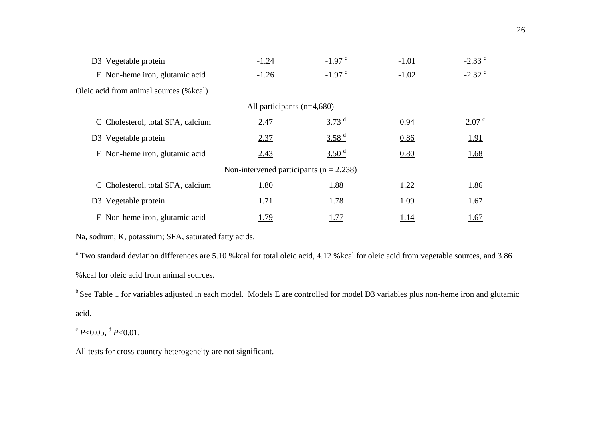| D3 Vegetable protein                    | $-1.24$                                     | $-1.97$ c            | $-1.01$ | $-2.33$ $^{\circ}$ |
|-----------------------------------------|---------------------------------------------|----------------------|---------|--------------------|
| E Non-heme iron, glutamic acid          | $-1.26$                                     | $-1.97$ <sup>c</sup> | $-1.02$ | $-2.32$ °          |
| Oleic acid from animal sources (% kcal) |                                             |                      |         |                    |
|                                         | All participants $(n=4,680)$                |                      |         |                    |
| C Cholesterol, total SFA, calcium       | 2.47                                        | 3.73 <sup>d</sup>    | 0.94    | 2.07 <sup>c</sup>  |
| D <sub>3</sub> Vegetable protein        | 2.37                                        | 3.58 <sup>d</sup>    | 0.86    | <u>1.91</u>        |
| E Non-heme iron, glutamic acid          | 2.43                                        | 3.50 <sup>d</sup>    | 0.80    | <u>1.68</u>        |
|                                         | Non-intervened participants ( $n = 2,238$ ) |                      |         |                    |
| C Cholesterol, total SFA, calcium       | 1.80                                        | 1.88                 | 1.22    | 1.86               |
| D <sub>3</sub> Vegetable protein        | 1.71                                        | <u>1.78</u>          | 1.09    | 1.67               |
| E Non-heme iron, glutamic acid          | 1.79                                        | 1.77                 | 1.14    | 1.67               |

Na, sodium; K, potassium; SFA, saturated fatty acids.

<sup>a</sup> Two standard deviation differences are 5.10 %kcal for total oleic acid, 4.12 %kcal for oleic acid from vegetable sources, and 3.86 %kcal for oleic acid from animal sources.

<sup>b</sup> See Table 1 for variables adjusted in each model. Models E are controlled for model D3 variables plus non-heme iron and glutamic acid.

 $c$  *P*<0.05, <sup>d</sup> *P*<0.01.

All tests for cross-country heterogeneity are not significant.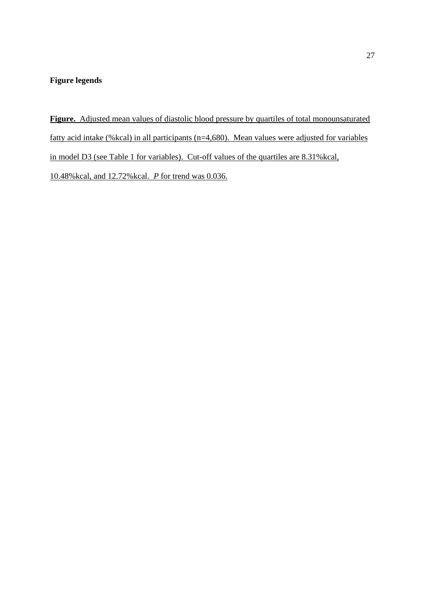# **Figure legends**

**Figure.** Adjusted mean values of diastolic blood pressure by quartiles of total monounsaturated fatty acid intake (%kcal) in all participants (n=4,680). Mean values were adjusted for variables in model D3 (see Table 1 for variables). Cut-off values of the quartiles are 8.31%kcal, 10.48%kcal, and 12.72%kcal. *P* for trend was 0.036.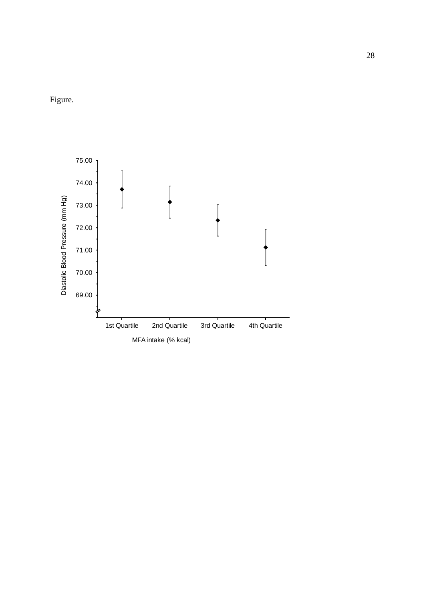Figure.

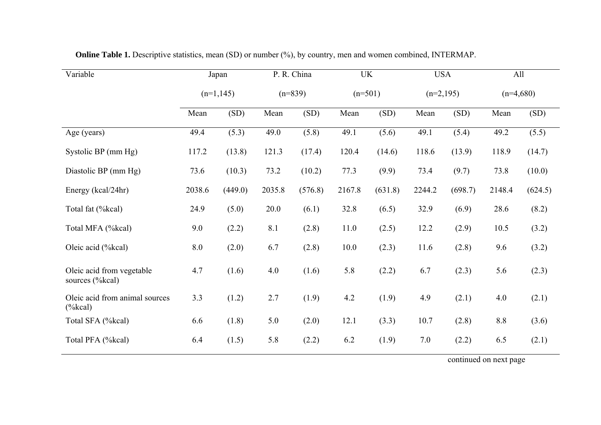| Variable                                            | Japan       |         |           | P. R. China |           | <b>UK</b> |             | <b>USA</b> |             | All     |
|-----------------------------------------------------|-------------|---------|-----------|-------------|-----------|-----------|-------------|------------|-------------|---------|
|                                                     | $(n=1,145)$ |         | $(n=839)$ |             | $(n=501)$ |           | $(n=2,195)$ |            | $(n=4,680)$ |         |
|                                                     | Mean        | (SD)    | Mean      | (SD)        | Mean      | (SD)      | Mean        | (SD)       | Mean        | (SD)    |
| Age (years)                                         | 49.4        | (5.3)   | 49.0      | (5.8)       | 49.1      | (5.6)     | 49.1        | (5.4)      | 49.2        | (5.5)   |
| Systolic BP (mm Hg)                                 | 117.2       | (13.8)  | 121.3     | (17.4)      | 120.4     | (14.6)    | 118.6       | (13.9)     | 118.9       | (14.7)  |
| Diastolic BP (mm Hg)                                | 73.6        | (10.3)  | 73.2      | (10.2)      | 77.3      | (9.9)     | 73.4        | (9.7)      | 73.8        | (10.0)  |
| Energy (kcal/24hr)                                  | 2038.6      | (449.0) | 2035.8    | (576.8)     | 2167.8    | (631.8)   | 2244.2      | (698.7)    | 2148.4      | (624.5) |
| Total fat (%kcal)                                   | 24.9        | (5.0)   | 20.0      | (6.1)       | 32.8      | (6.5)     | 32.9        | (6.9)      | 28.6        | (8.2)   |
| Total MFA (%kcal)                                   | 9.0         | (2.2)   | 8.1       | (2.8)       | 11.0      | (2.5)     | 12.2        | (2.9)      | 10.5        | (3.2)   |
| Oleic acid (%kcal)                                  | 8.0         | (2.0)   | 6.7       | (2.8)       | 10.0      | (2.3)     | 11.6        | (2.8)      | 9.6         | (3.2)   |
| Oleic acid from vegetable<br>sources (%kcal)        | 4.7         | (1.6)   | 4.0       | (1.6)       | 5.8       | (2.2)     | 6.7         | (2.3)      | 5.6         | (2.3)   |
| Oleic acid from animal sources<br>$(%$ (% $\&cal$ ) | 3.3         | (1.2)   | 2.7       | (1.9)       | 4.2       | (1.9)     | 4.9         | (2.1)      | 4.0         | (2.1)   |
| Total SFA (%kcal)                                   | 6.6         | (1.8)   | 5.0       | (2.0)       | 12.1      | (3.3)     | 10.7        | (2.8)      | 8.8         | (3.6)   |
| Total PFA (%kcal)                                   | 6.4         | (1.5)   | 5.8       | (2.2)       | 6.2       | (1.9)     | 7.0         | (2.2)      | 6.5         | (2.1)   |

**Online Table 1.** Descriptive statistics, mean (SD) or number (%), by country, men and women combined, INTERMAP.

continued on next page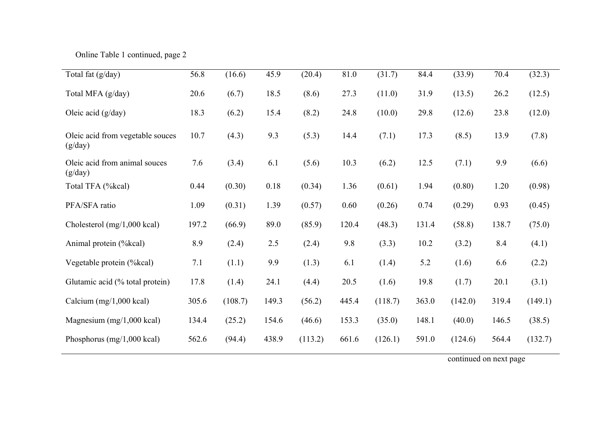Online Table 1 continued, page 2

| Total fat (g/day)                           | 56.8  | (16.6)  | 45.9  | (20.4)  | 81.0  | (31.7)  | 84.4  | (33.9)  | 70.4  | (32.3)  |
|---------------------------------------------|-------|---------|-------|---------|-------|---------|-------|---------|-------|---------|
| Total MFA (g/day)                           | 20.6  | (6.7)   | 18.5  | (8.6)   | 27.3  | (11.0)  | 31.9  | (13.5)  | 26.2  | (12.5)  |
| Oleic acid (g/day)                          | 18.3  | (6.2)   | 15.4  | (8.2)   | 24.8  | (10.0)  | 29.8  | (12.6)  | 23.8  | (12.0)  |
| Oleic acid from vegetable souces<br>(g/day) | 10.7  | (4.3)   | 9.3   | (5.3)   | 14.4  | (7.1)   | 17.3  | (8.5)   | 13.9  | (7.8)   |
| Oleic acid from animal souces<br>(g/day)    | 7.6   | (3.4)   | 6.1   | (5.6)   | 10.3  | (6.2)   | 12.5  | (7.1)   | 9.9   | (6.6)   |
| Total TFA (%kcal)                           | 0.44  | (0.30)  | 0.18  | (0.34)  | 1.36  | (0.61)  | 1.94  | (0.80)  | 1.20  | (0.98)  |
| PFA/SFA ratio                               | 1.09  | (0.31)  | 1.39  | (0.57)  | 0.60  | (0.26)  | 0.74  | (0.29)  | 0.93  | (0.45)  |
| Cholesterol $(mg/1,000 \text{ kcal})$       | 197.2 | (66.9)  | 89.0  | (85.9)  | 120.4 | (48.3)  | 131.4 | (58.8)  | 138.7 | (75.0)  |
| Animal protein (%kcal)                      | 8.9   | (2.4)   | 2.5   | (2.4)   | 9.8   | (3.3)   | 10.2  | (3.2)   | 8.4   | (4.1)   |
| Vegetable protein (%kcal)                   | 7.1   | (1.1)   | 9.9   | (1.3)   | 6.1   | (1.4)   | 5.2   | (1.6)   | 6.6   | (2.2)   |
| Glutamic acid (% total protein)             | 17.8  | (1.4)   | 24.1  | (4.4)   | 20.5  | (1.6)   | 19.8  | (1.7)   | 20.1  | (3.1)   |
| Calcium $(mg/1,000 \text{ kcal})$           | 305.6 | (108.7) | 149.3 | (56.2)  | 445.4 | (118.7) | 363.0 | (142.0) | 319.4 | (149.1) |
| Magnesium $(mg/1,000 \text{ kcal})$         | 134.4 | (25.2)  | 154.6 | (46.6)  | 153.3 | (35.0)  | 148.1 | (40.0)  | 146.5 | (38.5)  |
| Phosphorus $(mg/1,000 \text{ kcal})$        | 562.6 | (94.4)  | 438.9 | (113.2) | 661.6 | (126.1) | 591.0 | (124.6) | 564.4 | (132.7) |

continued on next page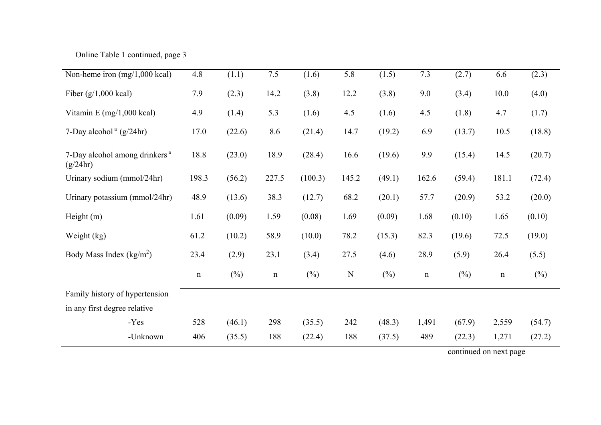Online Table 1 continued, page 3

| Non-heme iron $(mg/1,000 \text{ kcal})$               | 4.8         | (1.1)  | $7.5$       | (1.6)   | 5.8   | (1.5)  | 7.3         | (2.7)                  | 6.6         | (2.3)  |
|-------------------------------------------------------|-------------|--------|-------------|---------|-------|--------|-------------|------------------------|-------------|--------|
| Fiber $(g/1,000 \text{ kcal})$                        | 7.9         | (2.3)  | 14.2        | (3.8)   | 12.2  | (3.8)  | 9.0         | (3.4)                  | 10.0        | (4.0)  |
| Vitamin E $(mg/1,000 \text{ kcal})$                   | 4.9         | (1.4)  | 5.3         | (1.6)   | 4.5   | (1.6)  | 4.5         | (1.8)                  | 4.7         | (1.7)  |
| 7-Day alcohol $\degree$ (g/24hr)                      | 17.0        | (22.6) | 8.6         | (21.4)  | 14.7  | (19.2) | 6.9         | (13.7)                 | 10.5        | (18.8) |
| 7-Day alcohol among drinkers <sup>a</sup><br>(g/24hr) | 18.8        | (23.0) | 18.9        | (28.4)  | 16.6  | (19.6) | 9.9         | (15.4)                 | 14.5        | (20.7) |
| Urinary sodium (mmol/24hr)                            | 198.3       | (56.2) | 227.5       | (100.3) | 145.2 | (49.1) | 162.6       | (59.4)                 | 181.1       | (72.4) |
| Urinary potassium (mmol/24hr)                         | 48.9        | (13.6) | 38.3        | (12.7)  | 68.2  | (20.1) | 57.7        | (20.9)                 | 53.2        | (20.0) |
| Height $(m)$                                          | 1.61        | (0.09) | 1.59        | (0.08)  | 1.69  | (0.09) | 1.68        | (0.10)                 | 1.65        | (0.10) |
| Weight (kg)                                           | 61.2        | (10.2) | 58.9        | (10.0)  | 78.2  | (15.3) | 82.3        | (19.6)                 | 72.5        | (19.0) |
| Body Mass Index $(kg/m^2)$                            | 23.4        | (2.9)  | 23.1        | (3.4)   | 27.5  | (4.6)  | 28.9        | (5.9)                  | 26.4        | (5.5)  |
|                                                       | $\mathbf n$ | $(\%)$ | $\mathbf n$ | $(\%)$  | N     | $(\%)$ | $\mathbf n$ | $(\%)$                 | $\mathbf n$ | $(\%)$ |
| Family history of hypertension                        |             |        |             |         |       |        |             |                        |             |        |
| in any first degree relative                          |             |        |             |         |       |        |             |                        |             |        |
| -Yes                                                  | 528         | (46.1) | 298         | (35.5)  | 242   | (48.3) | 1,491       | (67.9)                 | 2,559       | (54.7) |
| -Unknown                                              | 406         | (35.5) | 188         | (22.4)  | 188   | (37.5) | 489         | (22.3)                 | 1,271       | (27.2) |
|                                                       |             |        |             |         |       |        |             | continued on next page |             |        |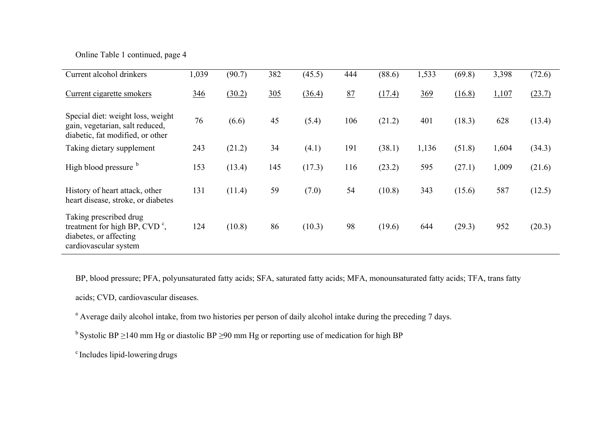# Online Table 1 continued, page 4

| Current alcohol drinkers                                                                                            | 1,039      | (90.7) | 382 | (45.5) | 444 | (88.6) | 1,533 | (69.8) | 3,398 | (72.6) |
|---------------------------------------------------------------------------------------------------------------------|------------|--------|-----|--------|-----|--------|-------|--------|-------|--------|
| Current cigarette smokers                                                                                           | <u>346</u> | (30.2) | 305 | (36.4) | 87  | (17.4) | 369   | (16.8) | 1,107 | (23.7) |
| Special diet: weight loss, weight<br>gain, vegetarian, salt reduced,<br>diabetic, fat modified, or other            | 76         | (6.6)  | 45  | (5.4)  | 106 | (21.2) | 401   | (18.3) | 628   | (13.4) |
| Taking dietary supplement                                                                                           | 243        | (21.2) | 34  | (4.1)  | 191 | (38.1) | 1,136 | (51.8) | 1,604 | (34.3) |
| High blood pressure b                                                                                               | 153        | (13.4) | 145 | (17.3) | 116 | (23.2) | 595   | (27.1) | 1,009 | (21.6) |
| History of heart attack, other<br>heart disease, stroke, or diabetes                                                | 131        | (11.4) | 59  | (7.0)  | 54  | (10.8) | 343   | (15.6) | 587   | (12.5) |
| Taking prescribed drug<br>treatment for high BP, CVD $\degree$ ,<br>diabetes, or affecting<br>cardiovascular system | 124        | (10.8) | 86  | (10.3) | 98  | (19.6) | 644   | (29.3) | 952   | (20.3) |

BP, blood pressure; PFA, polyunsaturated fatty acids; SFA, saturated fatty acids; MFA, monounsaturated fatty acids; TFA, trans fatty

acids; CVD, cardiovascular diseases.

<sup>a</sup> Average daily alcohol intake, from two histories per person of daily alcohol intake during the preceding 7 days.

<sup>b</sup> Systolic BP ≥140 mm Hg or diastolic BP ≥90 mm Hg or reporting use of medication for high BP

c Includes lipid-lowering drugs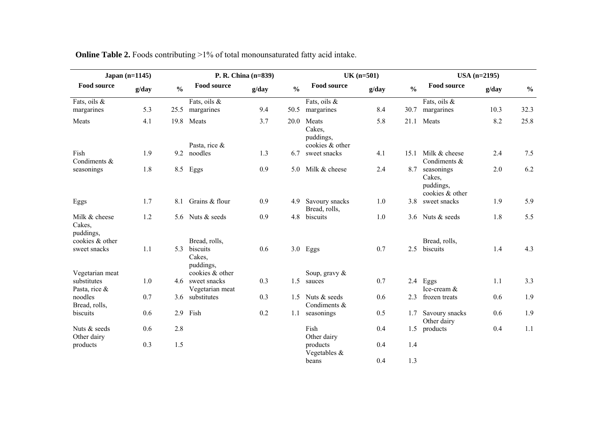| Japan $(n=1145)$                     |       |               | P. R. China (n=839)                              |       |               | $UK (n=501)$                    |       |               | $USA (n=2195)$                                       |       |               |
|--------------------------------------|-------|---------------|--------------------------------------------------|-------|---------------|---------------------------------|-------|---------------|------------------------------------------------------|-------|---------------|
| <b>Food source</b>                   | g/day | $\frac{0}{0}$ | <b>Food source</b>                               | g/day | $\frac{0}{0}$ | <b>Food source</b>              | g/day | $\frac{0}{0}$ | <b>Food source</b>                                   | g/day | $\frac{0}{0}$ |
| Fats, oils &<br>margarines           | 5.3   | 25.5          | Fats, oils &<br>margarines                       | 9.4   | 50.5          | Fats, oils &<br>margarines      | 8.4   | 30.7          | Fats, oils &<br>margarines                           | 10.3  | 32.3          |
| Meats                                | 4.1   |               | 19.8 Meats                                       | 3.7   | 20.0          | Meats<br>Cakes,<br>puddings,    | 5.8   | 21.1          | Meats                                                | 8.2   | 25.8          |
| Fish<br>Condiments &                 | 1.9   | 9.2           | Pasta, rice &<br>noodles                         | 1.3   | 6.7           | cookies & other<br>sweet snacks | 4.1   | 15.1          | Milk & cheese<br>Condiments &                        | 2.4   | 7.5           |
| seasonings                           | 1.8   | 8.5           | Eggs                                             | 0.9   | 5.0           | Milk & cheese                   | 2.4   | 8.7           | seasonings<br>Cakes,<br>puddings,<br>cookies & other | 2.0   | 6.2           |
| Eggs                                 | 1.7   | 8.1           | Grains & flour                                   | 0.9   | 4.9           | Savoury snacks<br>Bread, rolls, | 1.0   | 3.8           | sweet snacks                                         | 1.9   | 5.9           |
| Milk & cheese<br>Cakes,<br>puddings, | 1.2   | 5.6           | Nuts & seeds                                     | 0.9   | 4.8           | biscuits                        | 1.0   | 3.6           | Nuts & seeds                                         | 1.8   | 5.5           |
| cookies & other<br>sweet snacks      | 1.1   | 5.3           | Bread, rolls,<br>biscuits<br>Cakes,<br>puddings, | 0.6   |               | $3.0$ Eggs                      | 0.7   | 2.5           | Bread, rolls,<br>biscuits                            | 1.4   | 4.3           |
| Vegetarian meat                      |       |               | cookies & other                                  |       |               | Soup, gravy &                   |       |               |                                                      |       |               |
| substitutes<br>Pasta, rice &         | 1.0   |               | 4.6 sweet snacks<br>Vegetarian meat              | 0.3   | 1.5           | sauces                          | 0.7   |               | 2.4 Eggs<br>Ice-cream &                              | 1.1   | 3.3           |
| noodles<br>Bread, rolls,             | 0.7   | 3.6           | substitutes                                      | 0.3   | 1.5           | Nuts & seeds<br>Condiments &    | 0.6   | 2.3           | frozen treats                                        | 0.6   | 1.9           |
| biscuits                             | 0.6   | 2.9           | Fish                                             | 0.2   | 1.1           | seasonings                      | 0.5   | 1.7           | Savoury snacks<br>Other dairy                        | 0.6   | 1.9           |
| Nuts & seeds<br>Other dairy          | 0.6   | 2.8           |                                                  |       |               | Fish<br>Other dairy             | 0.4   | 1.5           | products                                             | 0.4   | 1.1           |
| products                             | 0.3   | 1.5           |                                                  |       |               | products<br>Vegetables &        | 0.4   | 1.4           |                                                      |       |               |
|                                      |       |               |                                                  |       |               | beans                           | 0.4   | 1.3           |                                                      |       |               |

**Online Table 2.** Foods contributing >1% of total monounsaturated fatty acid intake.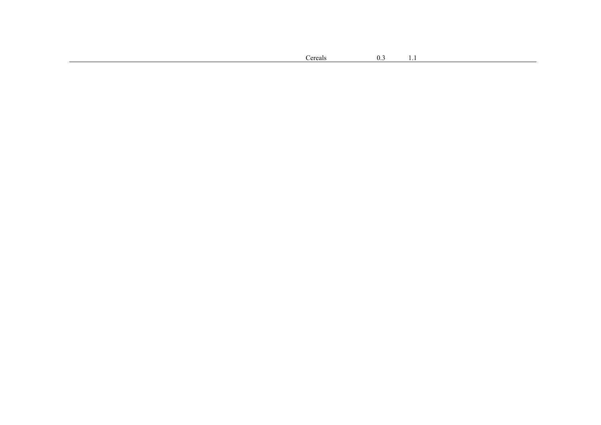| ereals | 0.3<br>. | . |  |  |
|--------|----------|---|--|--|
|        |          |   |  |  |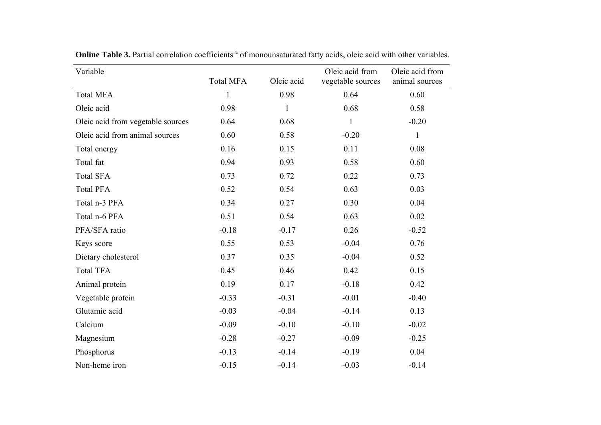| Variable                          | <b>Total MFA</b> | Oleic acid   | Oleic acid from<br>vegetable sources | Oleic acid from<br>animal sources |
|-----------------------------------|------------------|--------------|--------------------------------------|-----------------------------------|
| <b>Total MFA</b>                  | $\mathbf{1}$     | 0.98         | 0.64                                 | 0.60                              |
| Oleic acid                        | 0.98             | $\mathbf{1}$ | 0.68                                 | 0.58                              |
| Oleic acid from vegetable sources | 0.64             | 0.68         | $\mathbf{1}$                         | $-0.20$                           |
| Oleic acid from animal sources    | 0.60             | 0.58         | $-0.20$                              | $\mathbf{1}$                      |
| Total energy                      | 0.16             | 0.15         | 0.11                                 | 0.08                              |
| Total fat                         | 0.94             | 0.93         | 0.58                                 | 0.60                              |
| <b>Total SFA</b>                  | 0.73             | 0.72         | 0.22                                 | 0.73                              |
| <b>Total PFA</b>                  | 0.52             | 0.54         | 0.63                                 | 0.03                              |
| Total n-3 PFA                     | 0.34             | 0.27         | 0.30                                 | 0.04                              |
| Total n-6 PFA                     | 0.51             | 0.54         | 0.63                                 | 0.02                              |
| PFA/SFA ratio                     | $-0.18$          | $-0.17$      | 0.26                                 | $-0.52$                           |
| Keys score                        | 0.55             | 0.53         | $-0.04$                              | 0.76                              |
| Dietary cholesterol               | 0.37             | 0.35         | $-0.04$                              | 0.52                              |
| <b>Total TFA</b>                  | 0.45             | 0.46         | 0.42                                 | 0.15                              |
| Animal protein                    | 0.19             | 0.17         | $-0.18$                              | 0.42                              |
| Vegetable protein                 | $-0.33$          | $-0.31$      | $-0.01$                              | $-0.40$                           |
| Glutamic acid                     | $-0.03$          | $-0.04$      | $-0.14$                              | 0.13                              |
| Calcium                           | $-0.09$          | $-0.10$      | $-0.10$                              | $-0.02$                           |
| Magnesium                         | $-0.28$          | $-0.27$      | $-0.09$                              | $-0.25$                           |
| Phosphorus                        | $-0.13$          | $-0.14$      | $-0.19$                              | 0.04                              |
| Non-heme iron                     | $-0.15$          | $-0.14$      | $-0.03$                              | $-0.14$                           |

**Online Table 3.** Partial correlation coefficients <sup>a</sup> of monounsaturated fatty acids, oleic acid with other variables.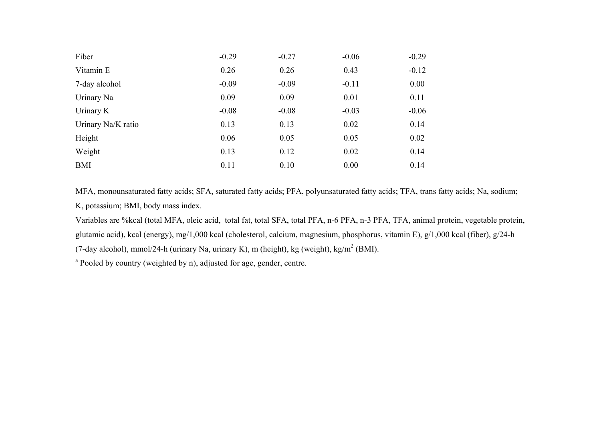| Fiber              | $-0.29$ | $-0.27$ | $-0.06$ | $-0.29$ |
|--------------------|---------|---------|---------|---------|
| Vitamin E          | 0.26    | 0.26    | 0.43    | $-0.12$ |
| 7-day alcohol      | $-0.09$ | $-0.09$ | $-0.11$ | 0.00    |
| Urinary Na         | 0.09    | 0.09    | 0.01    | 0.11    |
| Urinary K          | $-0.08$ | $-0.08$ | $-0.03$ | $-0.06$ |
| Urinary Na/K ratio | 0.13    | 0.13    | 0.02    | 0.14    |
| Height             | 0.06    | 0.05    | 0.05    | 0.02    |
| Weight             | 0.13    | 0.12    | 0.02    | 0.14    |
| BMI                | 0.11    | 0.10    | 0.00    | 0.14    |

MFA, monounsaturated fatty acids; SFA, saturated fatty acids; PFA, polyunsaturated fatty acids; TFA, trans fatty acids; Na, sodium; K, potassium; BMI, body mass index.

Variables are %kcal (total MFA, oleic acid, total fat, total SFA, total PFA, n-6 PFA, n-3 PFA, TFA, animal protein, vegetable protein, glutamic acid), kcal (energy), mg/1,000 kcal (cholesterol, calcium, magnesium, phosphorus, vitamin E), g/1,000 kcal (fiber), g/24-h

(7-day alcohol), mmol/24-h (urinary Na, urinary K), m (height), kg (weight), kg/m<sup>2</sup> (BMI).

<sup>a</sup> Pooled by country (weighted by n), adjusted for age, gender, centre.